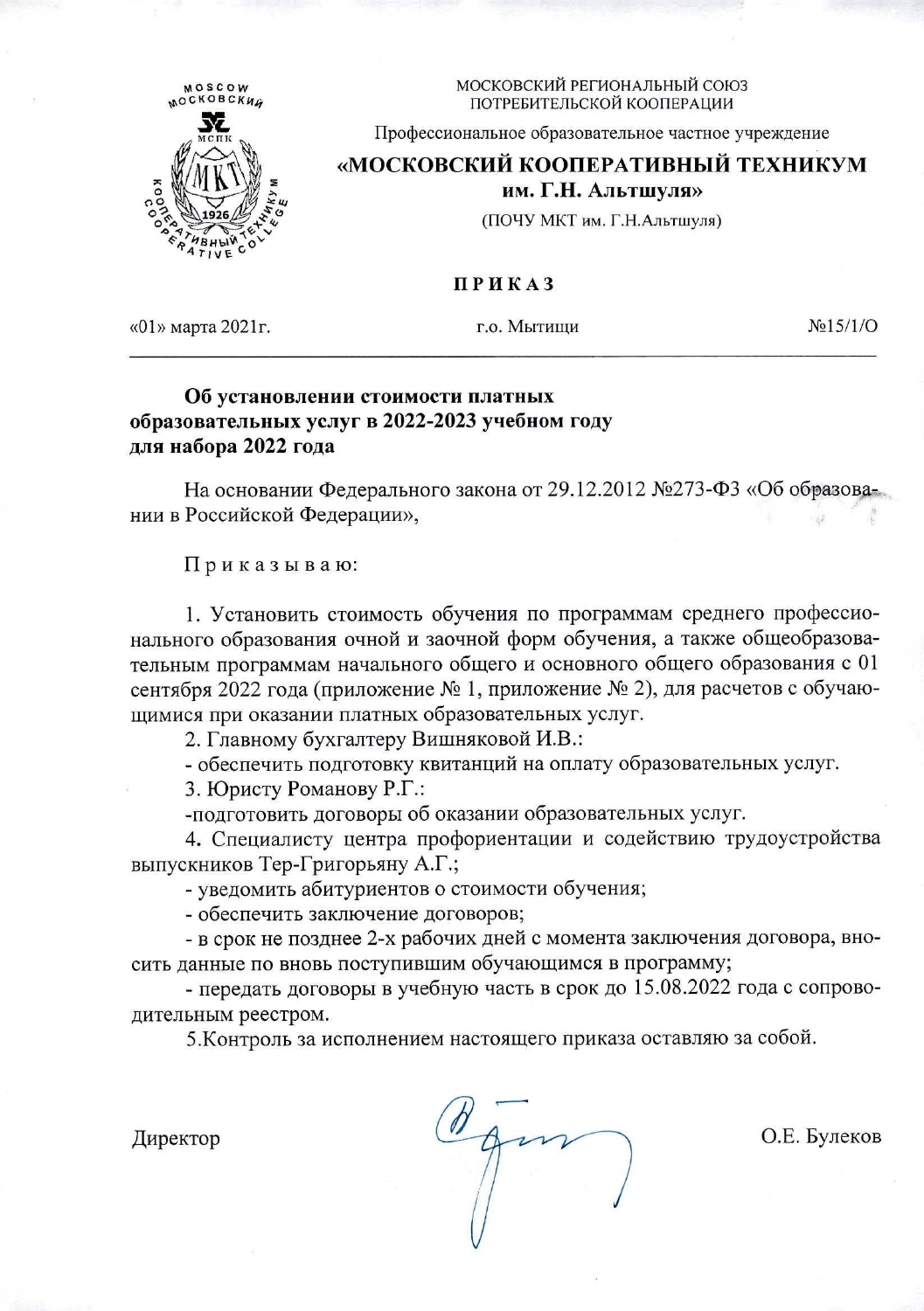

МОСКОВСКИЙ РЕГИОНАЛЬНЫЙ СОЮЗ ПОТРЕБИТЕЛЬСКОЙ КООПЕРАЦИИ

Профессиональное образовательное частное учреждение

## «МОСКОВСКИЙ КООПЕРАТИВНЫЙ ТЕХНИКУМ

им. Г.Н. Альтшуля»

(ПОЧУ МКТ им. Г.Н.Альтшуля)

## ПРИКАЗ

«01» марта 2021 г.

г.о. Мытиши

 $N<sub>2</sub>15/1/O$ 

## Об установлении стоимости платных образовательных услуг в 2022-2023 учебном году для набора 2022 года

На основании Федерального закона от 29.12.2012 №273-ФЗ «Об образовании в Российской Федерации»,

Приказываю:

1. Установить стоимость обучения по программам среднего профессионального образования очной и заочной форм обучения, а также общеобразовательным программам начального общего и основного общего образования с 01 сентября 2022 года (приложение № 1, приложение № 2), для расчетов с обучающимися при оказании платных образовательных услуг.

2. Главному бухгалтеру Вишняковой И.В.:

- обеспечить подготовку квитанций на оплату образовательных услуг.

3. Юристу Романову Р.Г.:

-подготовить договоры об оказании образовательных услуг.

4. Специалисту центра профориентации и содействию трудоустройства выпускников Тер-Григорьяну А.Г.;

- уведомить абитуриентов о стоимости обучения;

- обеспечить заключение договоров;

- в срок не позднее 2-х рабочих дней с момента заключения договора, вносить данные по вновь поступившим обучающимся в программу;

- передать договоры в учебную часть в срок до 15.08.2022 года с сопроводительным реестром.

5. Контроль за исполнением настоящего приказа оставляю за собой.

Директор

О.Е. Булеков